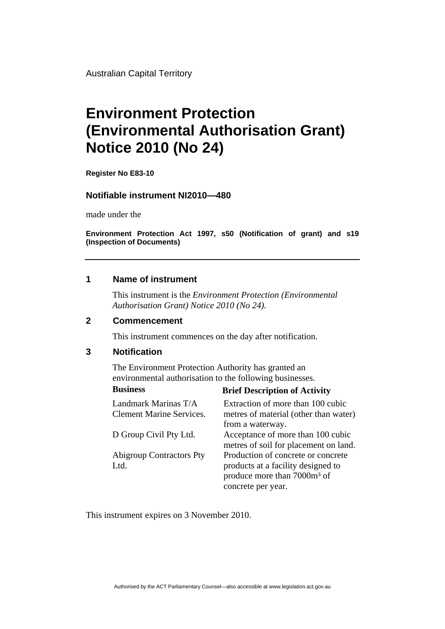Australian Capital Territory

# **Environment Protection (Environmental Authorisation Grant) Notice 2010 (No 24)**

**Register No E83-10** 

#### **Notifiable instrument NI2010—480**

made under the

**Environment Protection Act 1997, s50 (Notification of grant) and s19 (Inspection of Documents)** 

#### **1 Name of instrument**

This instrument is the *Environment Protection (Environmental Authorisation Grant) Notice 2010 (No 24).* 

#### **2 Commencement**

This instrument commences on the day after notification.

### **3 Notification**

The Environment Protection Authority has granted an environmental authorisation to the following businesses. **Business Brief Description of Activity** 

| <b>DIRICI DUSCLIPHON OF ACCHAIGHT</b>                                                                                                     |
|-------------------------------------------------------------------------------------------------------------------------------------------|
| Extraction of more than 100 cubic<br>metres of material (other than water)<br>from a waterway.                                            |
| Acceptance of more than 100 cubic<br>metres of soil for placement on land.                                                                |
| Production of concrete or concrete<br>products at a facility designed to<br>produce more than 7000m <sup>3</sup> of<br>concrete per year. |
|                                                                                                                                           |

This instrument expires on 3 November 2010.